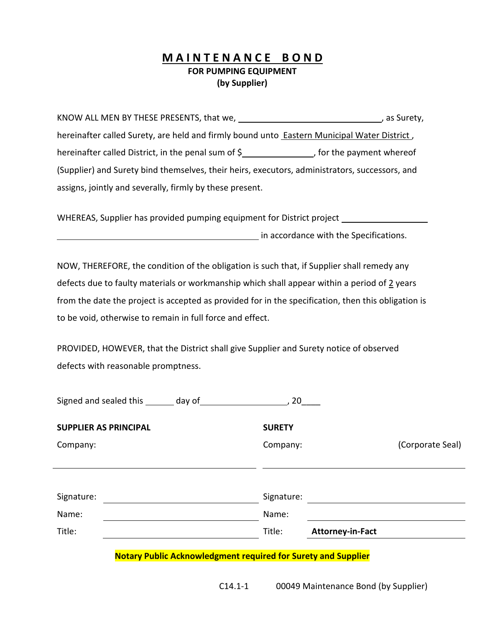## **M A I N T E N A N C E B O N D FOR PUMPING EQUIPMENT (by Supplier)**

KNOW ALL MEN BY THESE PRESENTS, that we,  $\blacksquare$ , as Surety, hereinafter called Surety, are held and firmly bound unto Eastern Municipal Water District , hereinafter called District, in the penal sum of  $\frac{2}{3}$  for the payment whereof (Supplier) and Surety bind themselves, their heirs, executors, administrators, successors, and assigns, jointly and severally, firmly by these present.

WHEREAS, Supplier has provided pumping equipment for District project

**in accordance with the Specifications.** 

NOW, THEREFORE, the condition of the obligation is such that, if Supplier shall remedy any defects due to faulty materials or workmanship which shall appear within a period of  $2$  years from the date the project is accepted as provided for in the specification, then this obligation is to be void, otherwise to remain in full force and effect.

PROVIDED, HOWEVER, that the District shall give Supplier and Surety notice of observed defects with reasonable promptness.

| Signed and sealed this day of |                                                                      | 20            |                         |                  |
|-------------------------------|----------------------------------------------------------------------|---------------|-------------------------|------------------|
| <b>SUPPLIER AS PRINCIPAL</b>  |                                                                      | <b>SURETY</b> |                         |                  |
| Company:                      |                                                                      | Company:      |                         | (Corporate Seal) |
|                               |                                                                      |               |                         |                  |
|                               |                                                                      |               |                         |                  |
| Signature:                    |                                                                      | Signature:    |                         |                  |
| Name:                         |                                                                      | Name:         |                         |                  |
| Title:                        |                                                                      | Title:        | <b>Attorney-in-Fact</b> |                  |
|                               | <b>Notary Public Acknowledgment required for Surety and Supplier</b> |               |                         |                  |

C14.1-1 00049 Maintenance Bond (by Supplier)